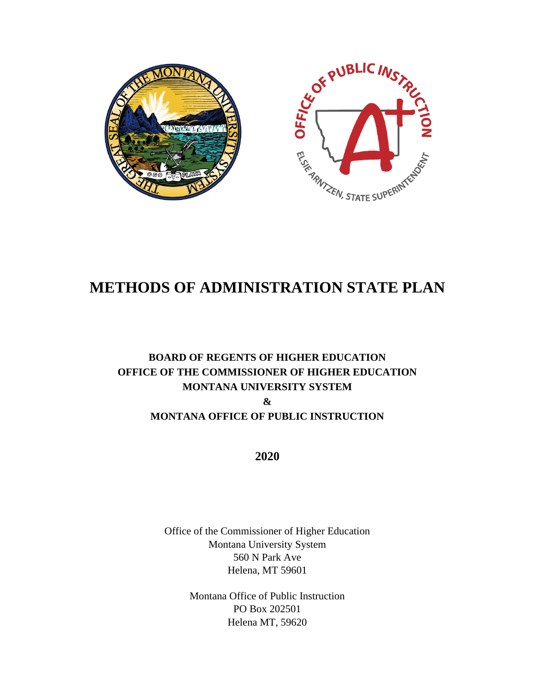

# **METHODS OF ADMINISTRATION STATE PLAN**

# **BOARD OF REGENTS OF HIGHER EDUCATION OFFICE OF THE COMMISSIONER OF HIGHER EDUCATION MONTANA UNIVERSITY SYSTEM & MONTANA OFFICE OF PUBLIC INSTRUCTION**

**2020**

Office of the Commissioner of Higher Education Montana University System 560 N Park Ave Helena, MT 59601

> Montana Office of Public Instruction PO Box 202501 Helena MT, 59620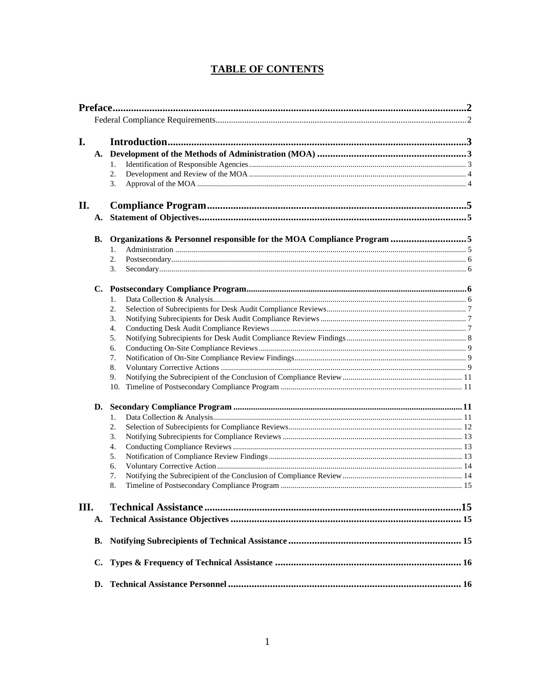# **TABLE OF CONTENTS**

| Preface. 122 |           |                                                                        |  |
|--------------|-----------|------------------------------------------------------------------------|--|
|              |           |                                                                        |  |
|              |           |                                                                        |  |
| I.           |           |                                                                        |  |
|              | А.        |                                                                        |  |
|              |           | 1.                                                                     |  |
|              |           | 2.                                                                     |  |
|              |           | 3.                                                                     |  |
| П.           |           |                                                                        |  |
|              | A.        |                                                                        |  |
|              | <b>B.</b> | Organizations & Personnel responsible for the MOA Compliance Program 5 |  |
|              |           | 1.                                                                     |  |
|              |           | 2.                                                                     |  |
|              |           | 3.                                                                     |  |
|              | C.        |                                                                        |  |
|              |           | 1.                                                                     |  |
|              |           | 2.                                                                     |  |
|              |           | 3.                                                                     |  |
|              |           | 4.                                                                     |  |
|              |           | 5.                                                                     |  |
|              |           | 6.                                                                     |  |
|              |           | 7.<br>8.                                                               |  |
|              |           | 9.                                                                     |  |
|              |           | 10.                                                                    |  |
|              | D.        |                                                                        |  |
|              |           | 1.                                                                     |  |
|              |           | 2.                                                                     |  |
|              |           | 3.                                                                     |  |
|              |           | 4.                                                                     |  |
|              |           | 5.                                                                     |  |
|              |           | 6.                                                                     |  |
|              |           | 7.                                                                     |  |
|              |           | 8.                                                                     |  |
| III.         |           |                                                                        |  |
|              | А.        |                                                                        |  |
|              | В.        |                                                                        |  |
|              | C.        |                                                                        |  |
|              | D.        |                                                                        |  |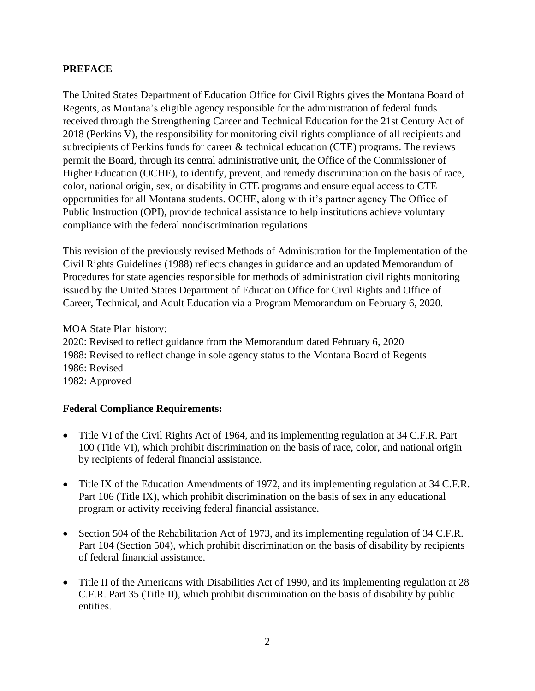# **PREFACE**

The United States Department of Education Office for Civil Rights gives the Montana Board of Regents, as Montana's eligible agency responsible for the administration of federal funds received through the Strengthening Career and Technical Education for the 21st Century Act of 2018 (Perkins V), the responsibility for monitoring civil rights compliance of all recipients and subrecipients of Perkins funds for career & technical education (CTE) programs. The reviews permit the Board, through its central administrative unit, the Office of the Commissioner of Higher Education (OCHE), to identify, prevent, and remedy discrimination on the basis of race, color, national origin, sex, or disability in CTE programs and ensure equal access to CTE opportunities for all Montana students. OCHE, along with it's partner agency The Office of Public Instruction (OPI), provide technical assistance to help institutions achieve voluntary compliance with the federal nondiscrimination regulations.

This revision of the previously revised Methods of Administration for the Implementation of the Civil Rights Guidelines (1988) reflects changes in guidance and an updated Memorandum of Procedures for state agencies responsible for methods of administration civil rights monitoring issued by the United States Department of Education Office for Civil Rights and Office of Career, Technical, and Adult Education via a Program Memorandum on February 6, 2020.

#### MOA State Plan history:

2020: Revised to reflect guidance from the Memorandum dated February 6, 2020 1988: Revised to reflect change in sole agency status to the Montana Board of Regents 1986: Revised 1982: Approved

# **Federal Compliance Requirements:**

- Title VI of the Civil Rights Act of 1964, and its implementing regulation at 34 C.F.R. Part 100 (Title VI), which prohibit discrimination on the basis of race, color, and national origin by recipients of federal financial assistance.
- Title IX of the Education Amendments of 1972, and its implementing regulation at 34 C.F.R. Part 106 (Title IX), which prohibit discrimination on the basis of sex in any educational program or activity receiving federal financial assistance.
- Section 504 of the Rehabilitation Act of 1973, and its implementing regulation of 34 C.F.R. Part 104 (Section 504), which prohibit discrimination on the basis of disability by recipients of federal financial assistance.
- Title II of the Americans with Disabilities Act of 1990, and its implementing regulation at 28 C.F.R. Part 35 (Title II), which prohibit discrimination on the basis of disability by public entities.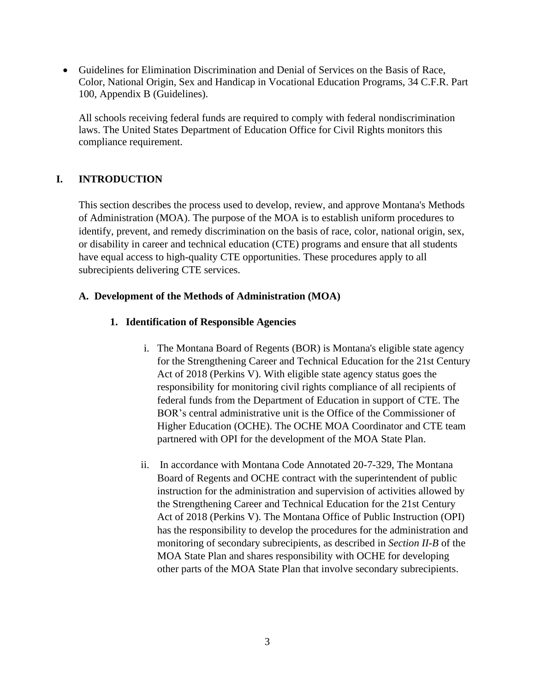• Guidelines for Elimination Discrimination and Denial of Services on the Basis of Race, Color, National Origin, Sex and Handicap in Vocational Education Programs, 34 C.F.R. Part 100, Appendix B (Guidelines).

All schools receiving federal funds are required to comply with federal nondiscrimination laws. The United States Department of Education Office for Civil Rights monitors this compliance requirement.

# **I. INTRODUCTION**

This section describes the process used to develop, review, and approve Montana's Methods of Administration (MOA). The purpose of the MOA is to establish uniform procedures to identify, prevent, and remedy discrimination on the basis of race, color, national origin, sex, or disability in career and technical education (CTE) programs and ensure that all students have equal access to high-quality CTE opportunities. These procedures apply to all subrecipients delivering CTE services.

#### **A. Development of the Methods of Administration (MOA)**

#### **1. Identification of Responsible Agencies**

- i. The Montana Board of Regents (BOR) is Montana's eligible state agency for the Strengthening Career and Technical Education for the 21st Century Act of 2018 (Perkins V). With eligible state agency status goes the responsibility for monitoring civil rights compliance of all recipients of federal funds from the Department of Education in support of CTE. The BOR's central administrative unit is the Office of the Commissioner of Higher Education (OCHE). The OCHE MOA Coordinator and CTE team partnered with OPI for the development of the MOA State Plan.
- ii. In accordance with Montana Code Annotated 20-7-329, The Montana Board of Regents and OCHE contract with the superintendent of public instruction for the administration and supervision of activities allowed by the Strengthening Career and Technical Education for the 21st Century Act of 2018 (Perkins V). The Montana Office of Public Instruction (OPI) has the responsibility to develop the procedures for the administration and monitoring of secondary subrecipients, as described in *Section II-B* of the MOA State Plan and shares responsibility with OCHE for developing other parts of the MOA State Plan that involve secondary subrecipients.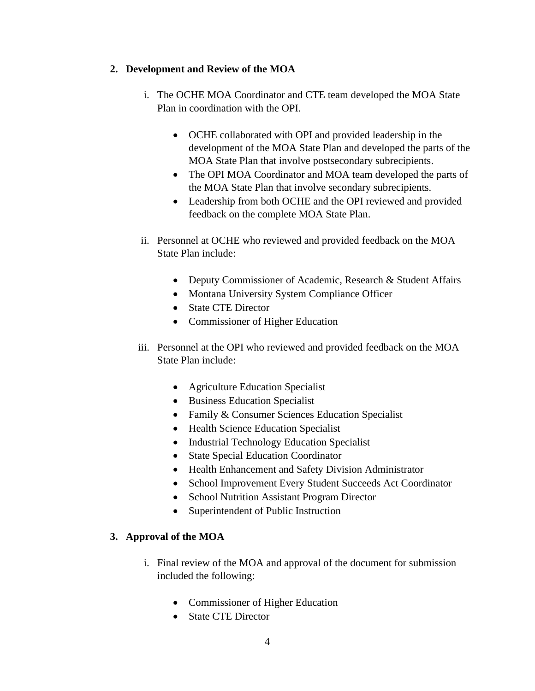#### **2. Development and Review of the MOA**

- i. The OCHE MOA Coordinator and CTE team developed the MOA State Plan in coordination with the OPI.
	- OCHE collaborated with OPI and provided leadership in the development of the MOA State Plan and developed the parts of the MOA State Plan that involve postsecondary subrecipients.
	- The OPI MOA Coordinator and MOA team developed the parts of the MOA State Plan that involve secondary subrecipients.
	- Leadership from both OCHE and the OPI reviewed and provided feedback on the complete MOA State Plan.
- ii. Personnel at OCHE who reviewed and provided feedback on the MOA State Plan include:
	- Deputy Commissioner of Academic, Research & Student Affairs
	- Montana University System Compliance Officer
	- State CTE Director
	- Commissioner of Higher Education
- iii. Personnel at the OPI who reviewed and provided feedback on the MOA State Plan include:
	- Agriculture Education Specialist
	- Business Education Specialist
	- Family & Consumer Sciences Education Specialist
	- Health Science Education Specialist
	- Industrial Technology Education Specialist
	- State Special Education Coordinator
	- Health Enhancement and Safety Division Administrator
	- School Improvement Every Student Succeeds Act Coordinator
	- School Nutrition Assistant Program Director
	- Superintendent of Public Instruction

# **3. Approval of the MOA**

- i. Final review of the MOA and approval of the document for submission included the following:
	- Commissioner of Higher Education
	- State CTE Director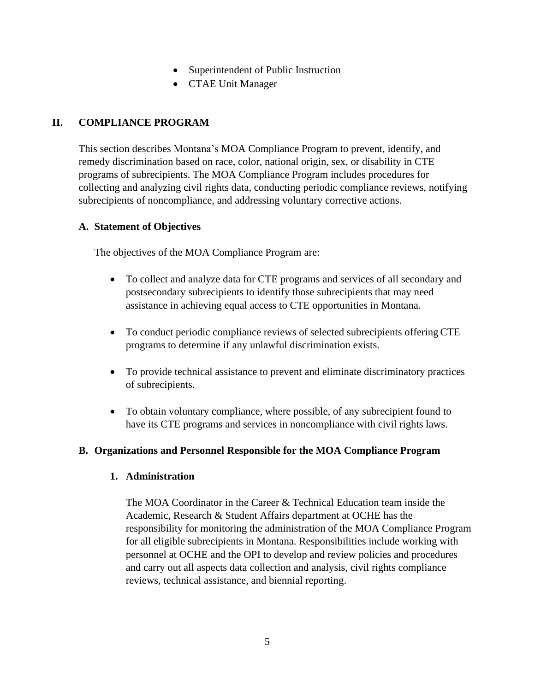- Superintendent of Public Instruction
- CTAE Unit Manager

# **II. COMPLIANCE PROGRAM**

This section describes Montana's MOA Compliance Program to prevent, identify, and remedy discrimination based on race, color, national origin, sex, or disability in CTE programs of subrecipients. The MOA Compliance Program includes procedures for collecting and analyzing civil rights data, conducting periodic compliance reviews, notifying subrecipients of noncompliance, and addressing voluntary corrective actions.

# **A. Statement of Objectives**

The objectives of the MOA Compliance Program are:

- To collect and analyze data for CTE programs and services of all secondary and postsecondary subrecipients to identify those subrecipients that may need assistance in achieving equal access to CTE opportunities in Montana.
- To conduct periodic compliance reviews of selected subrecipients offering CTE programs to determine if any unlawful discrimination exists.
- To provide technical assistance to prevent and eliminate discriminatory practices of subrecipients.
- To obtain voluntary compliance, where possible, of any subrecipient found to have its CTE programs and services in noncompliance with civil rights laws.

# **B. Organizations and Personnel Responsible for the MOA Compliance Program**

# **1. Administration**

The MOA Coordinator in the Career & Technical Education team inside the Academic, Research & Student Affairs department at OCHE has the responsibility for monitoring the administration of the MOA Compliance Program for all eligible subrecipients in Montana. Responsibilities include working with personnel at OCHE and the OPI to develop and review policies and procedures and carry out all aspects data collection and analysis, civil rights compliance reviews, technical assistance, and biennial reporting.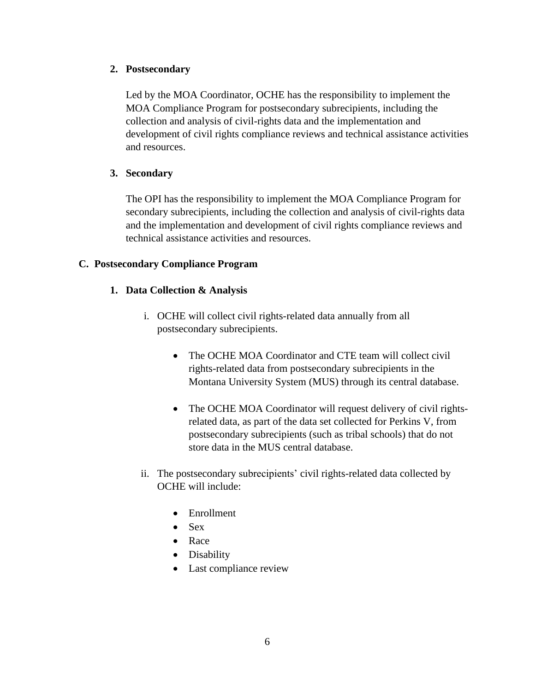#### **2. Postsecondary**

Led by the MOA Coordinator, OCHE has the responsibility to implement the MOA Compliance Program for postsecondary subrecipients, including the collection and analysis of civil-rights data and the implementation and development of civil rights compliance reviews and technical assistance activities and resources.

# **3. Secondary**

The OPI has the responsibility to implement the MOA Compliance Program for secondary subrecipients, including the collection and analysis of civil-rights data and the implementation and development of civil rights compliance reviews and technical assistance activities and resources.

# **C. Postsecondary Compliance Program**

# **1. Data Collection & Analysis**

- i. OCHE will collect civil rights-related data annually from all postsecondary subrecipients.
	- The OCHE MOA Coordinator and CTE team will collect civil rights-related data from postsecondary subrecipients in the Montana University System (MUS) through its central database.
	- The OCHE MOA Coordinator will request delivery of civil rightsrelated data, as part of the data set collected for Perkins V, from postsecondary subrecipients (such as tribal schools) that do not store data in the MUS central database.
- ii. The postsecondary subrecipients' civil rights-related data collected by OCHE will include:
	- Enrollment
	- Sex
	- Race
	- Disability
	- Last compliance review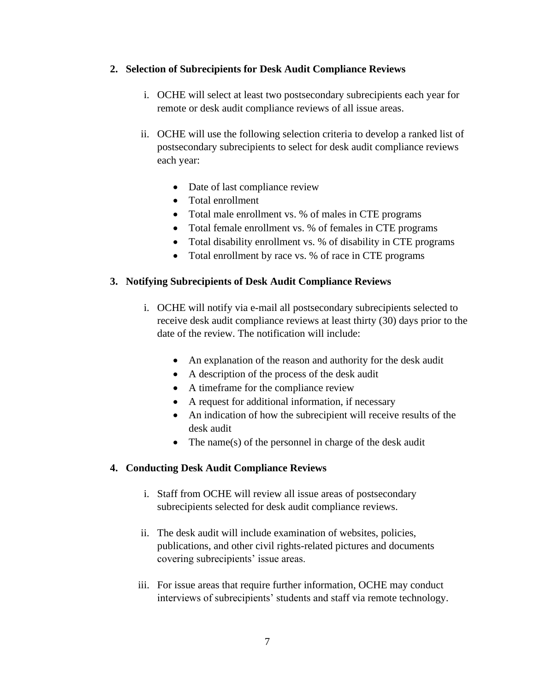#### **2. Selection of Subrecipients for Desk Audit Compliance Reviews**

- i. OCHE will select at least two postsecondary subrecipients each year for remote or desk audit compliance reviews of all issue areas.
- ii. OCHE will use the following selection criteria to develop a ranked list of postsecondary subrecipients to select for desk audit compliance reviews each year:
	- Date of last compliance review
	- Total enrollment
	- Total male enrollment vs. % of males in CTE programs
	- Total female enrollment vs. % of females in CTE programs
	- Total disability enrollment vs. % of disability in CTE programs
	- Total enrollment by race vs. % of race in CTE programs

# **3. Notifying Subrecipients of Desk Audit Compliance Reviews**

- i. OCHE will notify via e-mail all postsecondary subrecipients selected to receive desk audit compliance reviews at least thirty (30) days prior to the date of the review. The notification will include:
	- An explanation of the reason and authority for the desk audit
	- A description of the process of the desk audit
	- A timeframe for the compliance review
	- A request for additional information, if necessary
	- An indication of how the subrecipient will receive results of the desk audit
	- The name(s) of the personnel in charge of the desk audit

# **4. Conducting Desk Audit Compliance Reviews**

- i. Staff from OCHE will review all issue areas of postsecondary subrecipients selected for desk audit compliance reviews.
- ii. The desk audit will include examination of websites, policies, publications, and other civil rights-related pictures and documents covering subrecipients' issue areas.
- iii. For issue areas that require further information, OCHE may conduct interviews of subrecipients' students and staff via remote technology.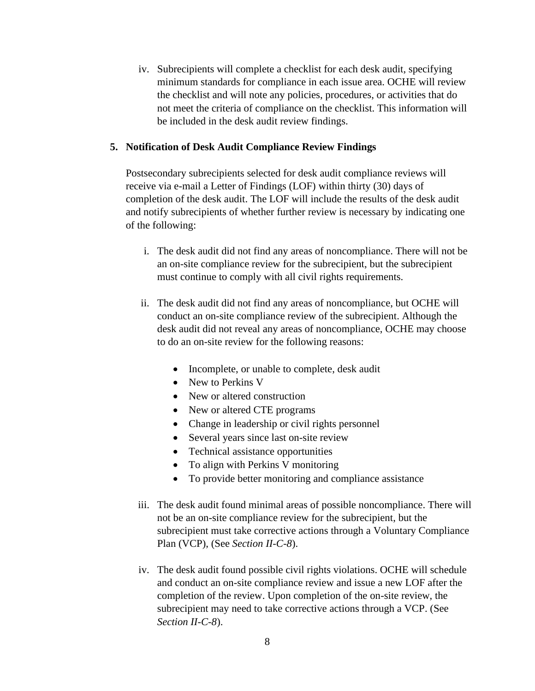iv. Subrecipients will complete a checklist for each desk audit, specifying minimum standards for compliance in each issue area. OCHE will review the checklist and will note any policies, procedures, or activities that do not meet the criteria of compliance on the checklist. This information will be included in the desk audit review findings.

#### **5. Notification of Desk Audit Compliance Review Findings**

Postsecondary subrecipients selected for desk audit compliance reviews will receive via e-mail a Letter of Findings (LOF) within thirty (30) days of completion of the desk audit. The LOF will include the results of the desk audit and notify subrecipients of whether further review is necessary by indicating one of the following:

- i. The desk audit did not find any areas of noncompliance. There will not be an on-site compliance review for the subrecipient, but the subrecipient must continue to comply with all civil rights requirements.
- ii. The desk audit did not find any areas of noncompliance, but OCHE will conduct an on-site compliance review of the subrecipient. Although the desk audit did not reveal any areas of noncompliance, OCHE may choose to do an on-site review for the following reasons:
	- Incomplete, or unable to complete, desk audit
	- New to Perkins V
	- New or altered construction
	- New or altered CTE programs
	- Change in leadership or civil rights personnel
	- Several years since last on-site review
	- Technical assistance opportunities
	- To align with Perkins V monitoring
	- To provide better monitoring and compliance assistance
- iii. The desk audit found minimal areas of possible noncompliance. There will not be an on-site compliance review for the subrecipient, but the subrecipient must take corrective actions through a Voluntary Compliance Plan (VCP), (See *Section II-C-8*).
- iv. The desk audit found possible civil rights violations. OCHE will schedule and conduct an on-site compliance review and issue a new LOF after the completion of the review. Upon completion of the on-site review, the subrecipient may need to take corrective actions through a VCP. (See *Section II-C-8*).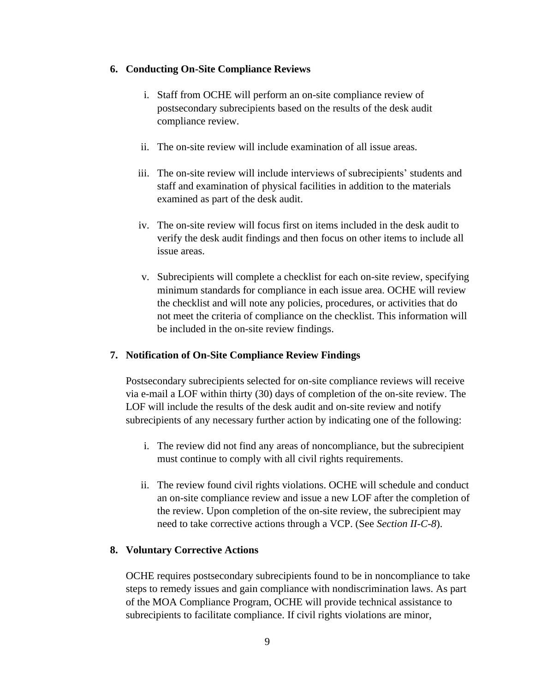#### **6. Conducting On-Site Compliance Reviews**

- i. Staff from OCHE will perform an on-site compliance review of postsecondary subrecipients based on the results of the desk audit compliance review.
- ii. The on-site review will include examination of all issue areas.
- iii. The on-site review will include interviews of subrecipients' students and staff and examination of physical facilities in addition to the materials examined as part of the desk audit.
- iv. The on-site review will focus first on items included in the desk audit to verify the desk audit findings and then focus on other items to include all issue areas.
- v. Subrecipients will complete a checklist for each on-site review, specifying minimum standards for compliance in each issue area. OCHE will review the checklist and will note any policies, procedures, or activities that do not meet the criteria of compliance on the checklist. This information will be included in the on-site review findings.

# **7. Notification of On-Site Compliance Review Findings**

Postsecondary subrecipients selected for on-site compliance reviews will receive via e-mail a LOF within thirty (30) days of completion of the on-site review. The LOF will include the results of the desk audit and on-site review and notify subrecipients of any necessary further action by indicating one of the following:

- i. The review did not find any areas of noncompliance, but the subrecipient must continue to comply with all civil rights requirements.
- ii. The review found civil rights violations. OCHE will schedule and conduct an on-site compliance review and issue a new LOF after the completion of the review. Upon completion of the on-site review, the subrecipient may need to take corrective actions through a VCP. (See *Section II-C-8*).

# **8. Voluntary Corrective Actions**

OCHE requires postsecondary subrecipients found to be in noncompliance to take steps to remedy issues and gain compliance with nondiscrimination laws. As part of the MOA Compliance Program, OCHE will provide technical assistance to subrecipients to facilitate compliance. If civil rights violations are minor,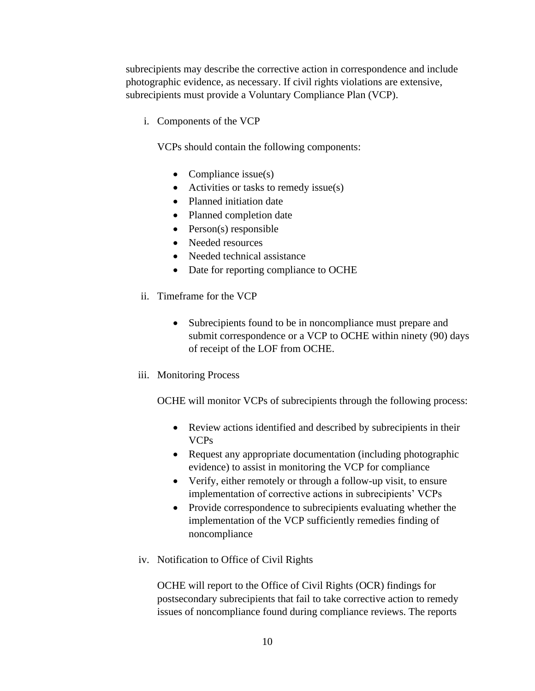subrecipients may describe the corrective action in correspondence and include photographic evidence, as necessary. If civil rights violations are extensive, subrecipients must provide a Voluntary Compliance Plan (VCP).

i. Components of the VCP

VCPs should contain the following components:

- Compliance issue(s)
- Activities or tasks to remedy issue(s)
- Planned initiation date
- Planned completion date
- Person(s) responsible
- Needed resources
- Needed technical assistance
- Date for reporting compliance to OCHE
- ii. Timeframe for the VCP
	- Subrecipients found to be in noncompliance must prepare and submit correspondence or a VCP to OCHE within ninety (90) days of receipt of the LOF from OCHE.
- iii. Monitoring Process

OCHE will monitor VCPs of subrecipients through the following process:

- Review actions identified and described by subrecipients in their VCPs
- Request any appropriate documentation (including photographic evidence) to assist in monitoring the VCP for compliance
- Verify, either remotely or through a follow-up visit, to ensure implementation of corrective actions in subrecipients' VCPs
- Provide correspondence to subrecipients evaluating whether the implementation of the VCP sufficiently remedies finding of noncompliance
- iv. Notification to Office of Civil Rights

OCHE will report to the Office of Civil Rights (OCR) findings for postsecondary subrecipients that fail to take corrective action to remedy issues of noncompliance found during compliance reviews. The reports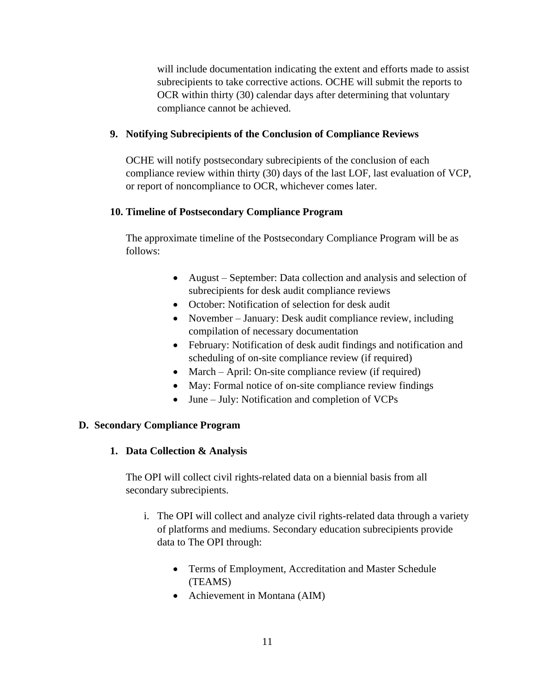will include documentation indicating the extent and efforts made to assist subrecipients to take corrective actions. OCHE will submit the reports to OCR within thirty (30) calendar days after determining that voluntary compliance cannot be achieved.

# **9. Notifying Subrecipients of the Conclusion of Compliance Reviews**

OCHE will notify postsecondary subrecipients of the conclusion of each compliance review within thirty (30) days of the last LOF, last evaluation of VCP, or report of noncompliance to OCR, whichever comes later.

# **10. Timeline of Postsecondary Compliance Program**

The approximate timeline of the Postsecondary Compliance Program will be as follows:

- August September: Data collection and analysis and selection of subrecipients for desk audit compliance reviews
- October: Notification of selection for desk audit
- November January: Desk audit compliance review, including compilation of necessary documentation
- February: Notification of desk audit findings and notification and scheduling of on-site compliance review (if required)
- March April: On-site compliance review (if required)
- May: Formal notice of on-site compliance review findings
- June July: Notification and completion of VCPs

# **D. Secondary Compliance Program**

# **1. Data Collection & Analysis**

The OPI will collect civil rights-related data on a biennial basis from all secondary subrecipients.

- i. The OPI will collect and analyze civil rights-related data through a variety of platforms and mediums. Secondary education subrecipients provide data to The OPI through:
	- Terms of Employment, Accreditation and Master Schedule (TEAMS)
	- Achievement in Montana (AIM)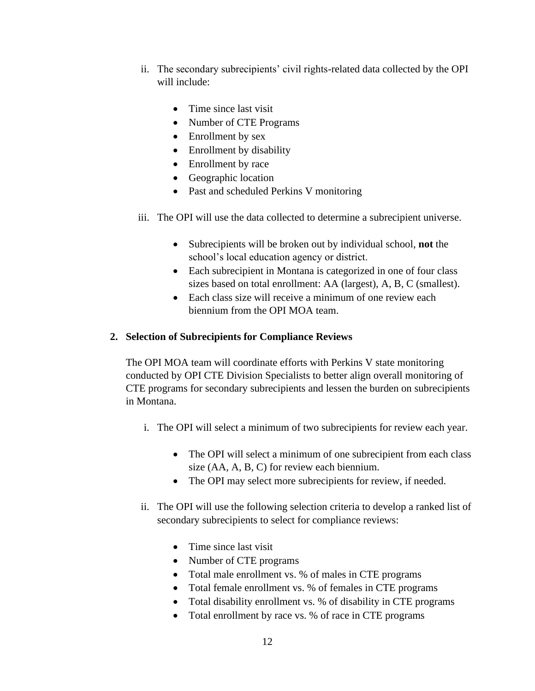- ii. The secondary subrecipients' civil rights-related data collected by the OPI will include:
	- Time since last visit
	- Number of CTE Programs
	- Enrollment by sex
	- Enrollment by disability
	- Enrollment by race
	- Geographic location
	- Past and scheduled Perkins V monitoring
- iii. The OPI will use the data collected to determine a subrecipient universe.
	- Subrecipients will be broken out by individual school, **not** the school's local education agency or district.
	- Each subrecipient in Montana is categorized in one of four class sizes based on total enrollment: AA (largest), A, B, C (smallest).
	- Each class size will receive a minimum of one review each biennium from the OPI MOA team.

# **2. Selection of Subrecipients for Compliance Reviews**

The OPI MOA team will coordinate efforts with Perkins V state monitoring conducted by OPI CTE Division Specialists to better align overall monitoring of CTE programs for secondary subrecipients and lessen the burden on subrecipients in Montana.

- i. The OPI will select a minimum of two subrecipients for review each year.
	- The OPI will select a minimum of one subrecipient from each class size (AA, A, B, C) for review each biennium.
	- The OPI may select more subrecipients for review, if needed.
- ii. The OPI will use the following selection criteria to develop a ranked list of secondary subrecipients to select for compliance reviews:
	- Time since last visit
	- Number of CTE programs
	- Total male enrollment vs. % of males in CTE programs
	- Total female enrollment vs. % of females in CTE programs
	- Total disability enrollment vs. % of disability in CTE programs
	- Total enrollment by race vs. % of race in CTE programs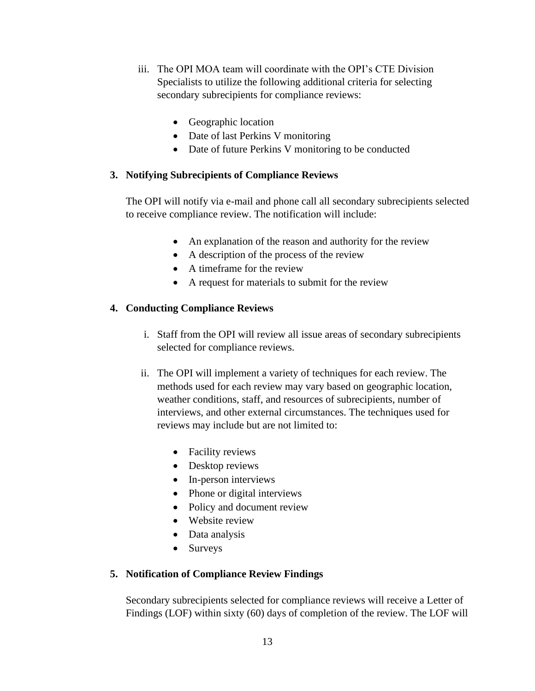- iii. The OPI MOA team will coordinate with the OPI's CTE Division Specialists to utilize the following additional criteria for selecting secondary subrecipients for compliance reviews:
	- Geographic location
	- Date of last Perkins V monitoring
	- Date of future Perkins V monitoring to be conducted

# **3. Notifying Subrecipients of Compliance Reviews**

The OPI will notify via e-mail and phone call all secondary subrecipients selected to receive compliance review. The notification will include:

- An explanation of the reason and authority for the review
- A description of the process of the review
- A timeframe for the review
- A request for materials to submit for the review

# **4. Conducting Compliance Reviews**

- i. Staff from the OPI will review all issue areas of secondary subrecipients selected for compliance reviews.
- ii. The OPI will implement a variety of techniques for each review. The methods used for each review may vary based on geographic location, weather conditions, staff, and resources of subrecipients, number of interviews, and other external circumstances. The techniques used for reviews may include but are not limited to:
	- Facility reviews
	- Desktop reviews
	- In-person interviews
	- Phone or digital interviews
	- Policy and document review
	- Website review
	- Data analysis
	- Surveys

# **5. Notification of Compliance Review Findings**

Secondary subrecipients selected for compliance reviews will receive a Letter of Findings (LOF) within sixty (60) days of completion of the review. The LOF will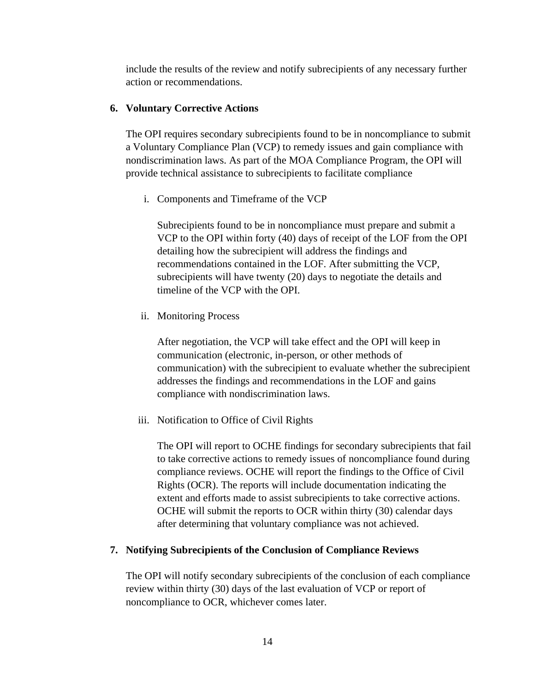include the results of the review and notify subrecipients of any necessary further action or recommendations.

#### **6. Voluntary Corrective Actions**

The OPI requires secondary subrecipients found to be in noncompliance to submit a Voluntary Compliance Plan (VCP) to remedy issues and gain compliance with nondiscrimination laws. As part of the MOA Compliance Program, the OPI will provide technical assistance to subrecipients to facilitate compliance

i. Components and Timeframe of the VCP

Subrecipients found to be in noncompliance must prepare and submit a VCP to the OPI within forty (40) days of receipt of the LOF from the OPI detailing how the subrecipient will address the findings and recommendations contained in the LOF. After submitting the VCP, subrecipients will have twenty (20) days to negotiate the details and timeline of the VCP with the OPI.

ii. Monitoring Process

After negotiation, the VCP will take effect and the OPI will keep in communication (electronic, in-person, or other methods of communication) with the subrecipient to evaluate whether the subrecipient addresses the findings and recommendations in the LOF and gains compliance with nondiscrimination laws.

iii. Notification to Office of Civil Rights

The OPI will report to OCHE findings for secondary subrecipients that fail to take corrective actions to remedy issues of noncompliance found during compliance reviews. OCHE will report the findings to the Office of Civil Rights (OCR). The reports will include documentation indicating the extent and efforts made to assist subrecipients to take corrective actions. OCHE will submit the reports to OCR within thirty (30) calendar days after determining that voluntary compliance was not achieved.

#### **7. Notifying Subrecipients of the Conclusion of Compliance Reviews**

The OPI will notify secondary subrecipients of the conclusion of each compliance review within thirty (30) days of the last evaluation of VCP or report of noncompliance to OCR, whichever comes later.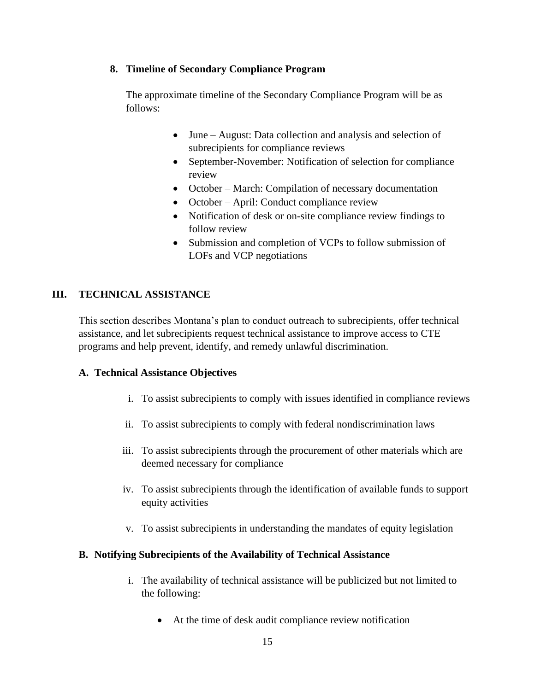#### **8. Timeline of Secondary Compliance Program**

The approximate timeline of the Secondary Compliance Program will be as follows:

- June August: Data collection and analysis and selection of subrecipients for compliance reviews
- September-November: Notification of selection for compliance review
- October March: Compilation of necessary documentation
- October April: Conduct compliance review
- Notification of desk or on-site compliance review findings to follow review
- Submission and completion of VCPs to follow submission of LOFs and VCP negotiations

# **III. TECHNICAL ASSISTANCE**

This section describes Montana's plan to conduct outreach to subrecipients, offer technical assistance, and let subrecipients request technical assistance to improve access to CTE programs and help prevent, identify, and remedy unlawful discrimination.

# **A. Technical Assistance Objectives**

- i. To assist subrecipients to comply with issues identified in compliance reviews
- ii. To assist subrecipients to comply with federal nondiscrimination laws
- iii. To assist subrecipients through the procurement of other materials which are deemed necessary for compliance
- iv. To assist subrecipients through the identification of available funds to support equity activities
- v. To assist subrecipients in understanding the mandates of equity legislation

# **B. Notifying Subrecipients of the Availability of Technical Assistance**

- i. The availability of technical assistance will be publicized but not limited to the following:
	- At the time of desk audit compliance review notification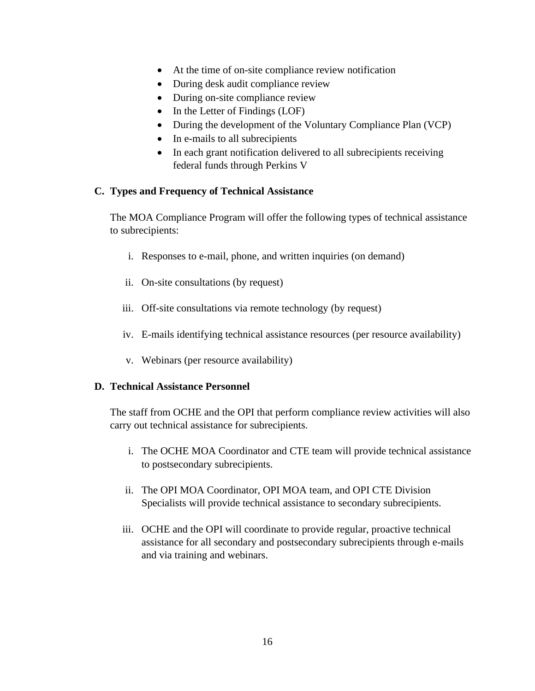- At the time of on-site compliance review notification
- During desk audit compliance review
- During on-site compliance review
- In the Letter of Findings (LOF)
- During the development of the Voluntary Compliance Plan (VCP)
- In e-mails to all subrecipients
- In each grant notification delivered to all subrecipients receiving federal funds through Perkins V

#### **C. Types and Frequency of Technical Assistance**

The MOA Compliance Program will offer the following types of technical assistance to subrecipients:

- i. Responses to e-mail, phone, and written inquiries (on demand)
- ii. On-site consultations (by request)
- iii. Off-site consultations via remote technology (by request)
- iv. E-mails identifying technical assistance resources (per resource availability)
- v. Webinars (per resource availability)

#### **D. Technical Assistance Personnel**

The staff from OCHE and the OPI that perform compliance review activities will also carry out technical assistance for subrecipients.

- i. The OCHE MOA Coordinator and CTE team will provide technical assistance to postsecondary subrecipients.
- ii. The OPI MOA Coordinator, OPI MOA team, and OPI CTE Division Specialists will provide technical assistance to secondary subrecipients.
- iii. OCHE and the OPI will coordinate to provide regular, proactive technical assistance for all secondary and postsecondary subrecipients through e-mails and via training and webinars.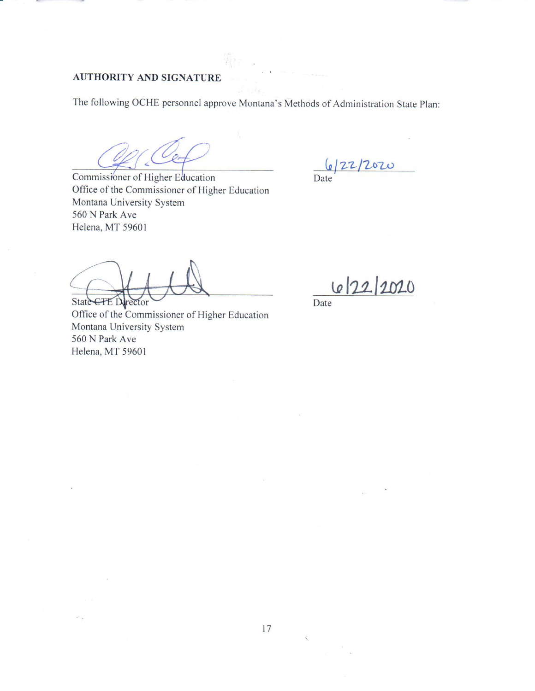# **AUTHORITY AND SIGNATURE**

The following OCHE personnel approve Montana's Methods of Administration State Plan:

Commissioner of Higher Education Office of the Commissioner of Higher Education Montana University System 560 N Park Ave Helena, MT 59601

 $\frac{6}{22}/2020$ 

State CTE Director

Office of the Commissioner of Higher Education Montana University System 560 N Park Ave Helena, MT 59601

 $\mathcal{F}^{\mathcal{F}}$  .

6/22/2020

Date

 $\bar{\zeta}$